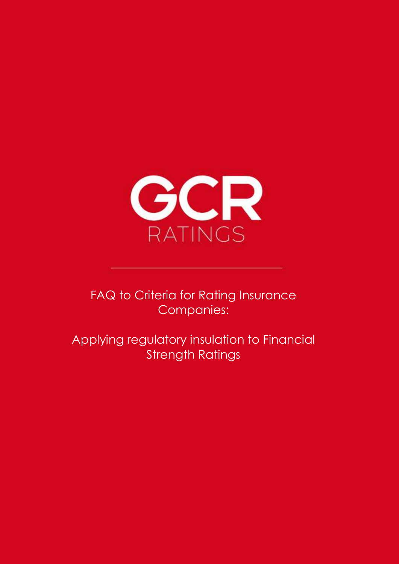

FAQ to Criteria for Rating Insurance Companies:

Applying regulatory insulation to Financial Strength Ratings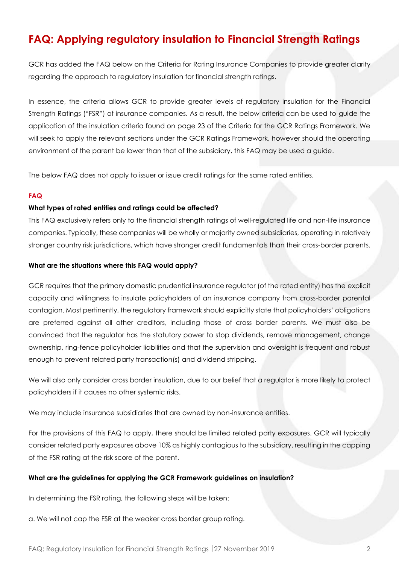# **FAQ: Applying regulatory insulation to Financial Strength Ratings**

GCR has added the FAQ below on the Criteria for Rating Insurance Companies to provide greater clarity regarding the approach to regulatory insulation for financial strength ratings.

In essence, the criteria allows GCR to provide greater levels of regulatory insulation for the Financial Strength Ratings ("FSR") of insurance companies. As a result, the below criteria can be used to guide the application of the insulation criteria found on page 23 of the Criteria for the GCR Ratings Framework. We will seek to apply the relevant sections under the GCR Ratings Framework, however should the operating environment of the parent be lower than that of the subsidiary, this FAQ may be used a guide.

The below FAQ does not apply to issuer or issue credit ratings for the same rated entities.

#### **FAQ**

#### **What types of rated entities and ratings could be affected?**

This FAQ exclusively refers only to the financial strength ratings of well-regulated life and non-life insurance companies. Typically, these companies will be wholly or majority owned subsidiaries, operating in relatively stronger country risk jurisdictions, which have stronger credit fundamentals than their cross-border parents.

#### **What are the situations where this FAQ would apply?**

GCR requires that the primary domestic prudential insurance regulator (of the rated entity) has the explicit capacity and willingness to insulate policyholders of an insurance company from cross-border parental contagion. Most pertinently, the regulatory framework should explicitly state that policyholders' obligations are preferred against all other creditors, including those of cross border parents. We must also be convinced that the regulator has the statutory power to stop dividends, remove management, change ownership, ring-fence policyholder liabilities and that the supervision and oversight is frequent and robust enough to prevent related party transaction(s) and dividend stripping.

We will also only consider cross border insulation, due to our belief that a regulator is more likely to protect policyholders if it causes no other systemic risks.

We may include insurance subsidiaries that are owned by non-insurance entities.

For the provisions of this FAQ to apply, there should be limited related party exposures. GCR will typically consider related party exposures above 10% as highly contagious to the subsidiary, resulting in the capping of the FSR rating at the risk score of the parent.

## **What are the guidelines for applying the GCR Framework guidelines on insulation?**

In determining the FSR rating, the following steps will be taken:

a. We will not cap the FSR at the weaker cross border group rating.

FAQ: Regulatory Insulation for Financial Strength Ratings 27 November 2019 2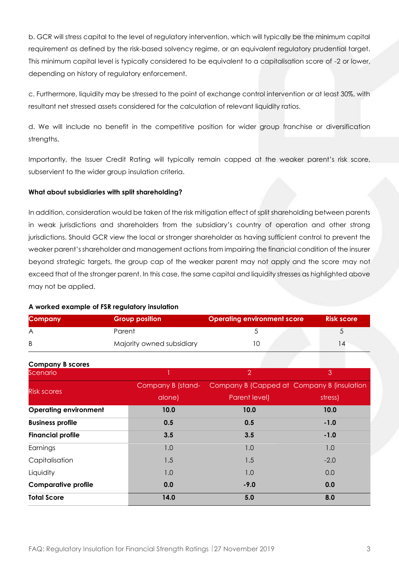b. GCR will stress capital to the level of regulatory intervention, which will typically be the minimum capital requirement as defined by the risk-based solvency regime, or an equivalent regulatory prudential target. This minimum capital level is typically considered to be equivalent to a capitalisation score of -2 or lower, depending on history of regulatory enforcement.

c. Furthermore, liquidity may be stressed to the point of exchange control intervention or at least 30%, with resultant net stressed assets considered for the calculation of relevant liquidity ratios.

d. We will include no benefit in the competitive position for wider group franchise or diversification strengths,

Importantly, the Issuer Credit Rating will typically remain capped at the weaker parent's risk score, subservient to the wider group insulation criteria.

# **What about subsidiaries with split shareholding?**

In addition, consideration would be taken of the risk mitigation effect of split shareholding between parents in weak jurisdictions and shareholders from the subsidiary's country of operation and other strong jurisdictions. Should GCR view the local or stronger shareholder as having sufficient control to prevent the weaker parent's shareholder and management actions from impairing the financial condition of the insurer beyond strategic targets, the group cap of the weaker parent may not apply and the score may not exceed that of the stronger parent. In this case, the same capital and liquidity stresses as highlighted above may not be applied.

## **A worked example of FSR regulatory insulation**

| <b>Company</b> | <b>Group position</b>     | <b>Operating environment score</b> | <b>Risk score</b> |
|----------------|---------------------------|------------------------------------|-------------------|
| A              | Parent                    |                                    |                   |
| B              | Majority owned subsidiary |                                    |                   |

**Company B scores** Scenario  $3$ Risk scores Company B (standalone) Company B (Capped at Company B (insulation Parent level) stress) **Operating environment 10.0 10.0 10.0 Business profile 0.5 0.5 -1.0 Financial profile 3.5 3.5 -1.0** Earnings 1.0 1.0 1.0 Capitalisation 1.5 1.5 -2.0 Liquidity 1.0 1.0 0.0 **Comparative profile 0.0 -9.0 0.0 Total Score 14.0 5.0 8.0**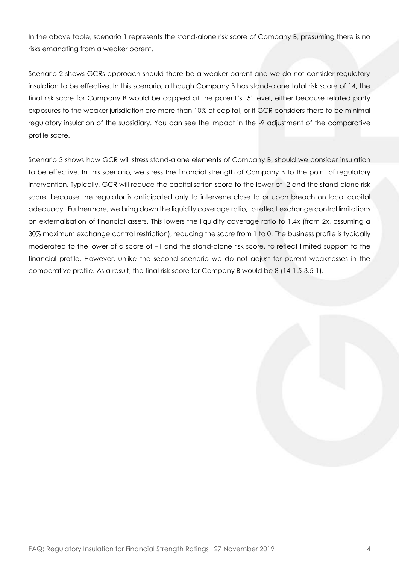In the above table, scenario 1 represents the stand-alone risk score of Company B, presuming there is no risks emanating from a weaker parent.

Scenario 2 shows GCRs approach should there be a weaker parent and we do not consider regulatory insulation to be effective. In this scenario, although Company B has stand-alone total risk score of 14, the final risk score for Company B would be capped at the parent's '5' level, either because related party exposures to the weaker jurisdiction are more than 10% of capital, or if GCR considers there to be minimal regulatory insulation of the subsidiary. You can see the impact in the -9 adjustment of the comparative profile score.

Scenario 3 shows how GCR will stress stand-alone elements of Company B, should we consider insulation to be effective. In this scenario, we stress the financial strength of Company B to the point of regulatory intervention. Typically, GCR will reduce the capitalisation score to the lower of -2 and the stand-alone risk score, because the regulator is anticipated only to intervene close to or upon breach on local capital adequacy. Furthermore, we bring down the liquidity coverage ratio, to reflect exchange control limitations on externalisation of financial assets. This lowers the liquidity coverage ratio to 1.4x (from 2x, assuming a 30% maximum exchange control restriction), reducing the score from 1 to 0. The business profile is typically moderated to the lower of a score of –1 and the stand-alone risk score, to reflect limited support to the financial profile. However, unlike the second scenario we do not adjust for parent weaknesses in the comparative profile. As a result, the final risk score for Company B would be 8 (14-1.5-3.5-1).